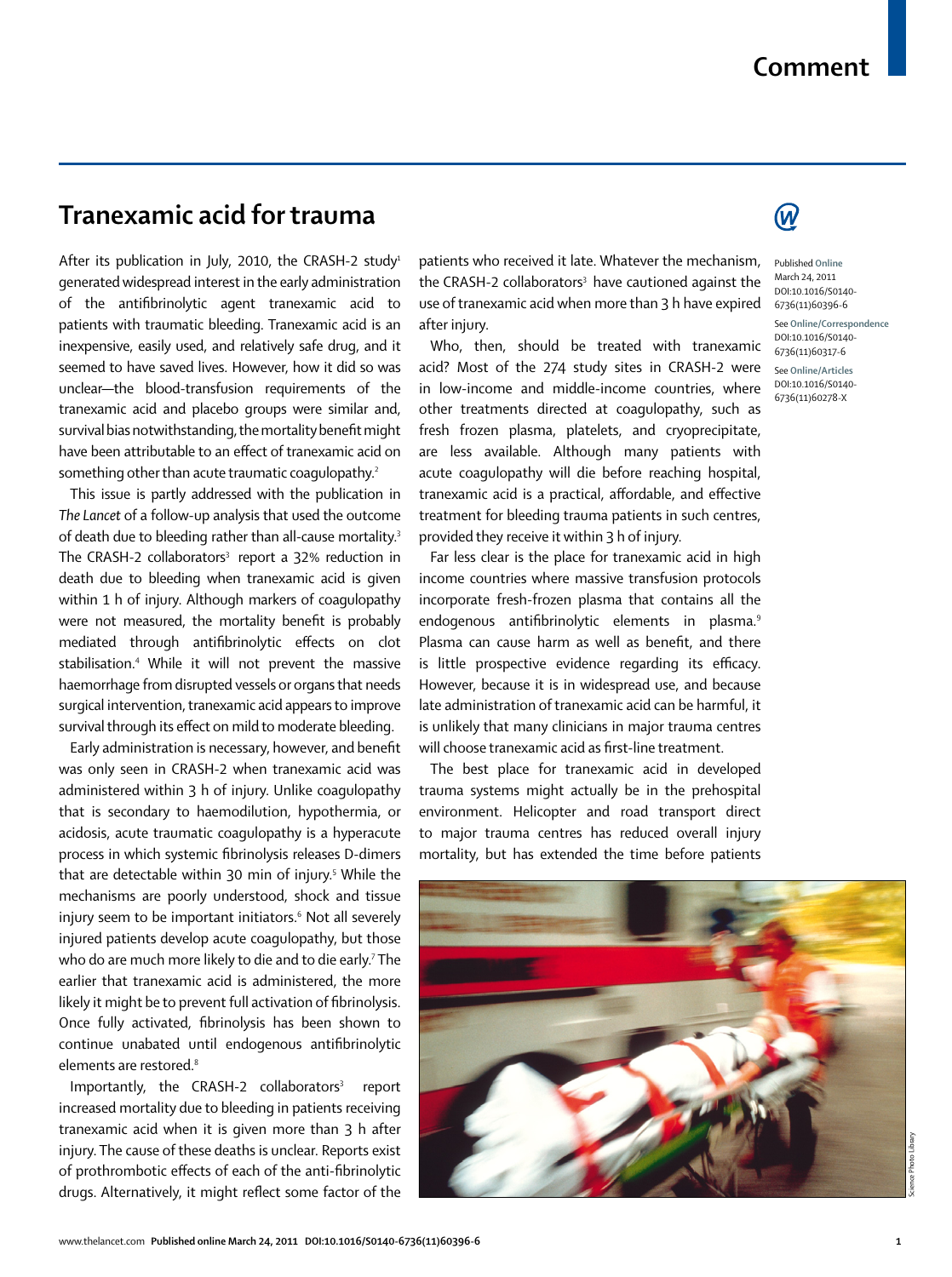## **Tranexamic acid for trauma**

After its publication in July, 2010, the CRASH-2 study<sup>1</sup> generated widespread interest in the early administration of the antifibrinolytic agent tranexamic acid to patients with traumatic bleeding. Tranexamic acid is an inexpensive, easily used, and relatively safe drug, and it seemed to have saved lives. However, how it did so was unclear—the blood-transfusion requirements of the tranexamic acid and placebo groups were similar and, survival bias notwithstanding, the mortality benefit might have been attributable to an effect of tranexamic acid on something other than acute traumatic coagulopathy.<sup>2</sup>

This issue is partly addressed with the publication in *The Lancet* of a follow-up analysis that used the outcome of death due to bleeding rather than all-cause mortality.3 The CRASH-2 collaborators<sup>3</sup> report a  $32\%$  reduction in death due to bleeding when tranexamic acid is given within 1 h of injury. Although markers of coagulopathy were not measured, the mortality benefit is probably mediated through antifibrinolytic effects on clot stabilisation.4 While it will not prevent the massive haemorrhage from disrupted vessels or organs that needs surgical intervention, tranexamic acid appears to improve survival through its effect on mild to moderate bleeding.

Early administration is necessary, however, and benefit was only seen in CRASH-2 when tranexamic acid was administered within 3 h of injury. Unlike coagulopathy that is secondary to haemodilution, hypothermia, or acidosis, acute traumatic coagulopathy is a hyperacute process in which systemic fibrinolysis releases D-dimers that are detectable within 30 min of injury.5 While the mechanisms are poorly understood, shock and tissue injury seem to be important initiators.6 Not all severely injured patients develop acute coagulopathy, but those who do are much more likely to die and to die early.7 The earlier that tranexamic acid is administered, the more likely it might be to prevent full activation of fibrinolysis. Once fully activated, fibrinolysis has been shown to continue unabated until endogenous antifibrinolytic elements are restored.<sup>8</sup>

Importantly, the CRASH-2 collaborators<sup>3</sup> report increased mortality due to bleeding in patients receiving tranexamic acid when it is given more than 3 h after injury. The cause of these deaths is unclear. Reports exist of prothrombotic effects of each of the anti-fibrinolytic drugs. Alternatively, it might reflect some factor of the patients who received it late. Whatever the mechanism, the CRASH-2 collaborators<sup>3</sup> have cautioned against the use of tranexamic acid when more than 3 h have expired after injury.

Who, then, should be treated with tranexamic acid? Most of the 274 study sites in CRASH-2 were in low-income and middle-income countries, where other treatments directed at coagulopathy, such as fresh frozen plasma, platelets, and cryoprecipitate, are less available. Although many patients with acute coagulopathy will die before reaching hospital, tranexamic acid is a practical, affordable, and effective treatment for bleeding trauma patients in such centres, provided they receive it within 3 h of injury.

Far less clear is the place for tranexamic acid in high income countries where massive transfusion protocols incorporate fresh-frozen plasma that contains all the endogenous antifibrinolytic elements in plasma.<sup>9</sup> Plasma can cause harm as well as benefit, and there is little prospective evidence regarding its efficacy. However, because it is in widespread use, and because late administration of tranexamic acid can be harmful, it is unlikely that many clinicians in major trauma centres will choose tranexamic acid as first-line treatment.

The best place for tranexamic acid in developed trauma systems might actually be in the prehospital environment. Helicopter and road transport direct to major trauma centres has reduced overall injury mortality, but has extended the time before patients





Published **Online** March 24, 2011 DOI:10.1016/S0140- 6736(11)60396-6 See **Online/Correspondence** DOI:10.1016/S0140- 6736(11)60317-6 See **Online/Articles** DOI:10.1016/S0140- 6736(11)60278-X